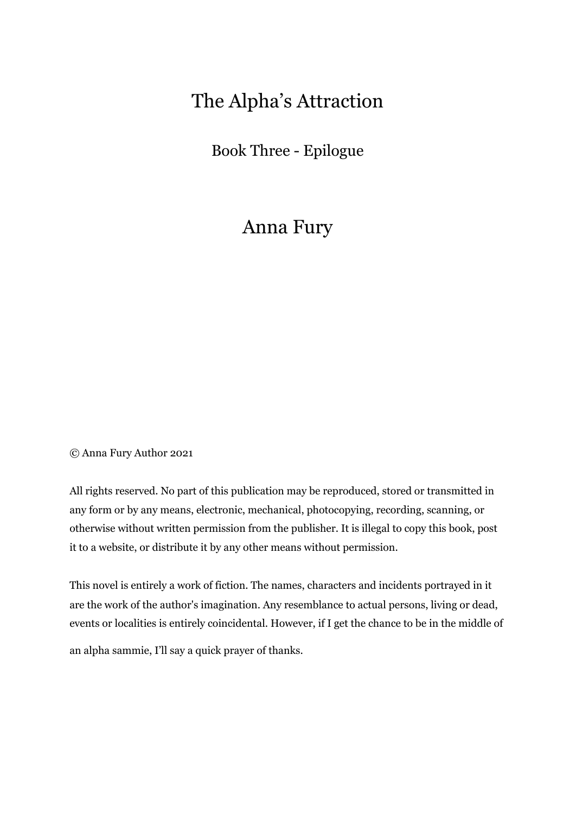# The Alpha's Attraction

Book Three - Epilogue

## Anna Fury

© Anna Fury Author 2021

All rights reserved. No part of this publication may be reproduced, stored or transmitted in any form or by any means, electronic, mechanical, photocopying, recording, scanning, or otherwise without written permission from the publisher. It is illegal to copy this book, post it to a website, or distribute it by any other means without permission.

This novel is entirely a work of fiction. The names, characters and incidents portrayed in it are the work of the author's imagination. Any resemblance to actual persons, living or dead, events or localities is entirely coincidental. However, if I get the chance to be in the middle of

an alpha sammie, I'll say a quick prayer of thanks.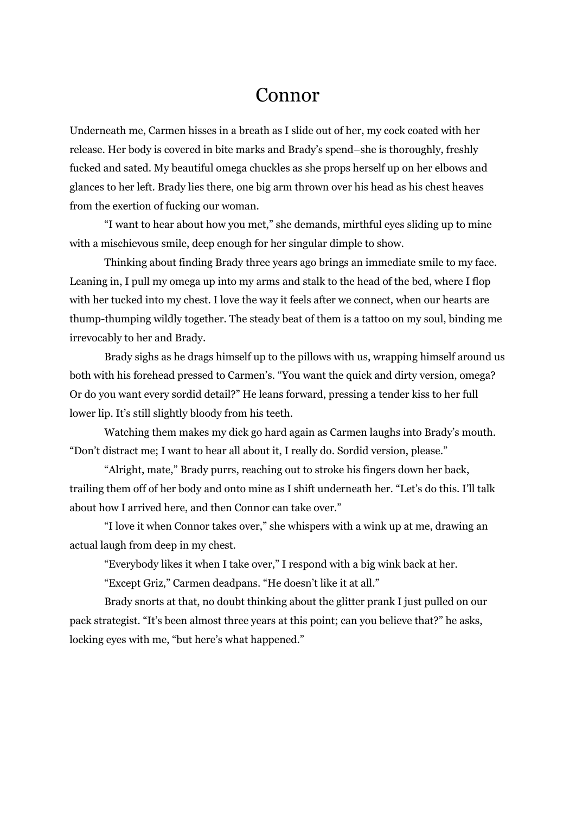### Connor

Underneath me, Carmen hisses in a breath as I slide out of her, my cock coated with her release. Her body is covered in bite marks and Brady's spend–she is thoroughly, freshly fucked and sated. My beautiful omega chuckles as she props herself up on her elbows and glances to her left. Brady lies there, one big arm thrown over his head as his chest heaves from the exertion of fucking our woman.

"I want to hear about how you met," she demands, mirthful eyes sliding up to mine with a mischievous smile, deep enough for her singular dimple to show.

Thinking about finding Brady three years ago brings an immediate smile to my face. Leaning in, I pull my omega up into my arms and stalk to the head of the bed, where I flop with her tucked into my chest. I love the way it feels after we connect, when our hearts are thump-thumping wildly together. The steady beat of them is a tattoo on my soul, binding me irrevocably to her and Brady.

Brady sighs as he drags himself up to the pillows with us, wrapping himself around us both with his forehead pressed to Carmen's. "You want the quick and dirty version, omega? Or do you want every sordid detail?" He leans forward, pressing a tender kiss to her full lower lip. It's still slightly bloody from his teeth.

Watching them makes my dick go hard again as Carmen laughs into Brady's mouth. "Don't distract me; I want to hear all about it, I really do. Sordid version, please."

"Alright, mate," Brady purrs, reaching out to stroke his fingers down her back, trailing them off of her body and onto mine as I shift underneath her. "Let's do this. I'll talk about how I arrived here, and then Connor can take over."

"I love it when Connor takes over," she whispers with a wink up at me, drawing an actual laugh from deep in my chest.

"Everybody likes it when I take over," I respond with a big wink back at her.

"Except Griz," Carmen deadpans. "He doesn't like it at all."

Brady snorts at that, no doubt thinking about the glitter prank I just pulled on our pack strategist. "It's been almost three years at this point; can you believe that?" he asks, locking eyes with me, "but here's what happened."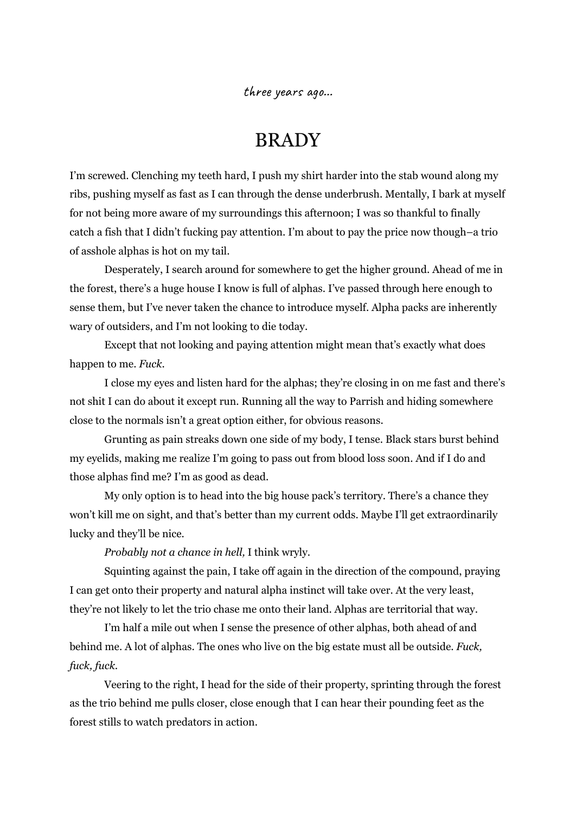three years ago…

## BRADY

I'm screwed. Clenching my teeth hard, I push my shirt harder into the stab wound along my ribs, pushing myself as fast as I can through the dense underbrush. Mentally, I bark at myself for not being more aware of my surroundings this afternoon; I was so thankful to finally catch a fish that I didn't fucking pay attention. I'm about to pay the price now though–a trio of asshole alphas is hot on my tail.

Desperately, I search around for somewhere to get the higher ground. Ahead of me in the forest, there's a huge house I know is full of alphas. I've passed through here enough to sense them, but I've never taken the chance to introduce myself. Alpha packs are inherently wary of outsiders, and I'm not looking to die today.

Except that not looking and paying attention might mean that's exactly what does happen to me. *Fuck*.

I close my eyes and listen hard for the alphas; they're closing in on me fast and there's not shit I can do about it except run. Running all the way to Parrish and hiding somewhere close to the normals isn't a great option either, for obvious reasons.

Grunting as pain streaks down one side of my body, I tense. Black stars burst behind my eyelids, making me realize I'm going to pass out from blood loss soon. And if I do and those alphas find me? I'm as good as dead.

My only option is to head into the big house pack's territory. There's a chance they won't kill me on sight, and that's better than my current odds. Maybe I'll get extraordinarily lucky and they'll be nice.

*Probably not a chance in hell,* I think wryly.

Squinting against the pain, I take off again in the direction of the compound, praying I can get onto their property and natural alpha instinct will take over. At the very least, they're not likely to let the trio chase me onto their land. Alphas are territorial that way.

I'm half a mile out when I sense the presence of other alphas, both ahead of and behind me. A lot of alphas. The ones who live on the big estate must all be outside. *Fuck, fuck, fuck.*

Veering to the right, I head for the side of their property, sprinting through the forest as the trio behind me pulls closer, close enough that I can hear their pounding feet as the forest stills to watch predators in action.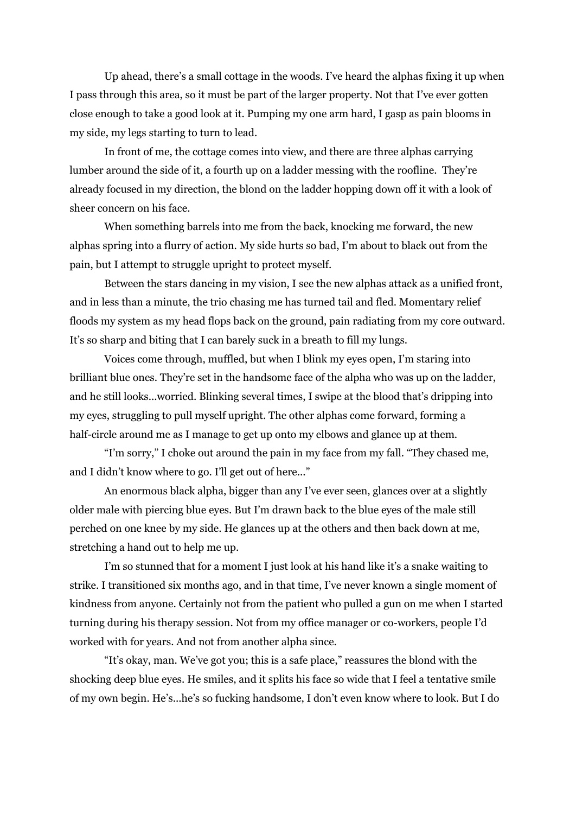Up ahead, there's a small cottage in the woods. I've heard the alphas fixing it up when I pass through this area, so it must be part of the larger property. Not that I've ever gotten close enough to take a good look at it. Pumping my one arm hard, I gasp as pain blooms in my side, my legs starting to turn to lead.

In front of me, the cottage comes into view, and there are three alphas carrying lumber around the side of it, a fourth up on a ladder messing with the roofline. They're already focused in my direction, the blond on the ladder hopping down off it with a look of sheer concern on his face.

When something barrels into me from the back, knocking me forward, the new alphas spring into a flurry of action. My side hurts so bad, I'm about to black out from the pain, but I attempt to struggle upright to protect myself.

Between the stars dancing in my vision, I see the new alphas attack as a unified front, and in less than a minute, the trio chasing me has turned tail and fled. Momentary relief floods my system as my head flops back on the ground, pain radiating from my core outward. It's so sharp and biting that I can barely suck in a breath to fill my lungs.

Voices come through, muffled, but when I blink my eyes open, I'm staring into brilliant blue ones. They're set in the handsome face of the alpha who was up on the ladder, and he still looks...worried. Blinking several times, I swipe at the blood that's dripping into my eyes, struggling to pull myself upright. The other alphas come forward, forming a half-circle around me as I manage to get up onto my elbows and glance up at them.

"I'm sorry," I choke out around the pain in my face from my fall. "They chased me, and I didn't know where to go. I'll get out of here..."

An enormous black alpha, bigger than any I've ever seen, glances over at a slightly older male with piercing blue eyes. But I'm drawn back to the blue eyes of the male still perched on one knee by my side. He glances up at the others and then back down at me, stretching a hand out to help me up.

I'm so stunned that for a moment I just look at his hand like it's a snake waiting to strike. I transitioned six months ago, and in that time, I've never known a single moment of kindness from anyone. Certainly not from the patient who pulled a gun on me when I started turning during his therapy session. Not from my office manager or co-workers, people I'd worked with for years. And not from another alpha since.

"It's okay, man. We've got you; this is a safe place," reassures the blond with the shocking deep blue eyes. He smiles, and it splits his face so wide that I feel a tentative smile of my own begin. He's...he's so fucking handsome, I don't even know where to look. But I do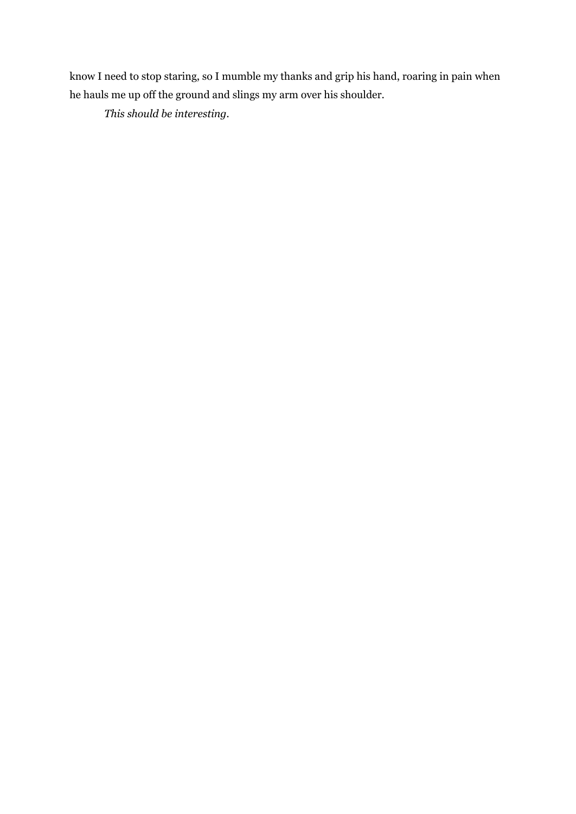know I need to stop staring, so I mumble my thanks and grip his hand, roaring in pain when he hauls me up off the ground and slings my arm over his shoulder.

*This should be interesting.*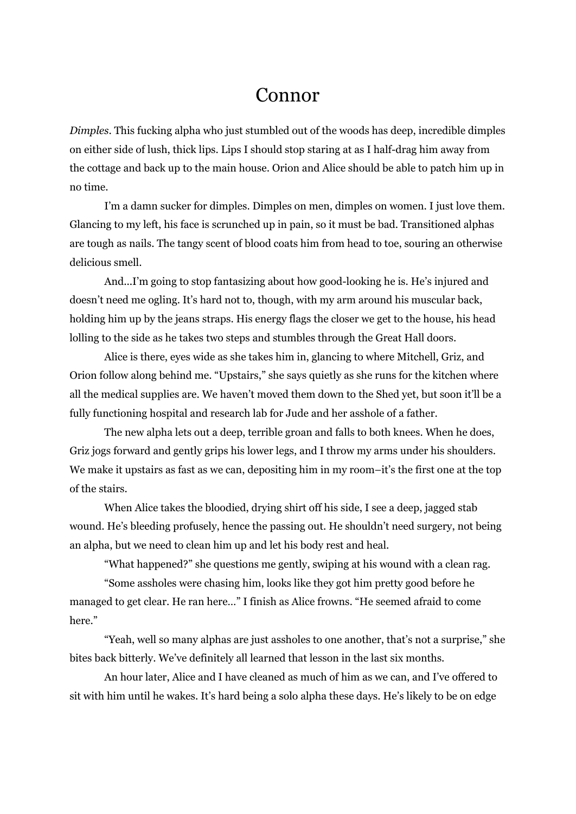## Connor

*Dimples*. This fucking alpha who just stumbled out of the woods has deep, incredible dimples on either side of lush, thick lips. Lips I should stop staring at as I half-drag him away from the cottage and back up to the main house. Orion and Alice should be able to patch him up in no time.

I'm a damn sucker for dimples. Dimples on men, dimples on women. I just love them. Glancing to my left, his face is scrunched up in pain, so it must be bad. Transitioned alphas are tough as nails. The tangy scent of blood coats him from head to toe, souring an otherwise delicious smell.

And...I'm going to stop fantasizing about how good-looking he is. He's injured and doesn't need me ogling. It's hard not to, though, with my arm around his muscular back, holding him up by the jeans straps. His energy flags the closer we get to the house, his head lolling to the side as he takes two steps and stumbles through the Great Hall doors.

Alice is there, eyes wide as she takes him in, glancing to where Mitchell, Griz, and Orion follow along behind me. "Upstairs," she says quietly as she runs for the kitchen where all the medical supplies are. We haven't moved them down to the Shed yet, but soon it'll be a fully functioning hospital and research lab for Jude and her asshole of a father.

The new alpha lets out a deep, terrible groan and falls to both knees. When he does, Griz jogs forward and gently grips his lower legs, and I throw my arms under his shoulders. We make it upstairs as fast as we can, depositing him in my room–it's the first one at the top of the stairs.

When Alice takes the bloodied, drying shirt off his side, I see a deep, jagged stab wound. He's bleeding profusely, hence the passing out. He shouldn't need surgery, not being an alpha, but we need to clean him up and let his body rest and heal.

"What happened?" she questions me gently, swiping at his wound with a clean rag.

"Some assholes were chasing him, looks like they got him pretty good before he managed to get clear. He ran here…" I finish as Alice frowns. "He seemed afraid to come here."

"Yeah, well so many alphas are just assholes to one another, that's not a surprise," she bites back bitterly. We've definitely all learned that lesson in the last six months.

An hour later, Alice and I have cleaned as much of him as we can, and I've offered to sit with him until he wakes. It's hard being a solo alpha these days. He's likely to be on edge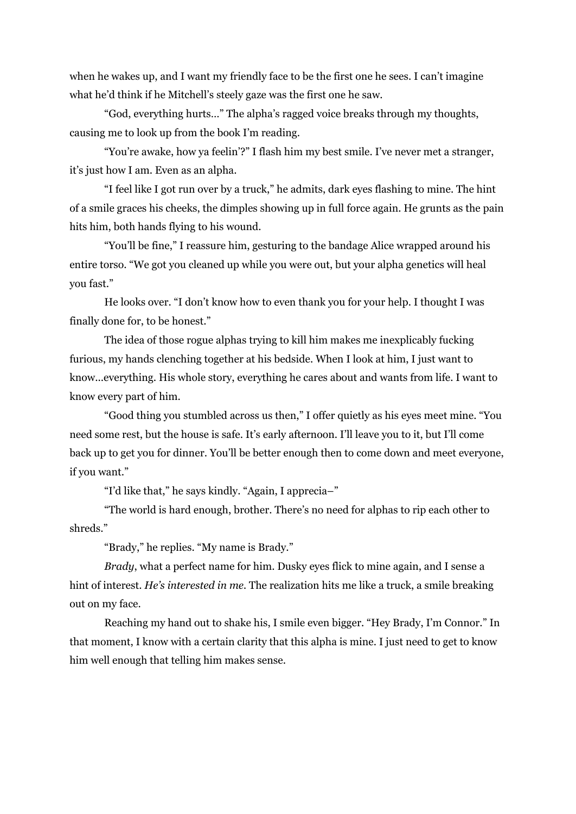when he wakes up, and I want my friendly face to be the first one he sees. I can't imagine what he'd think if he Mitchell's steely gaze was the first one he saw.

"God, everything hurts…" The alpha's ragged voice breaks through my thoughts, causing me to look up from the book I'm reading.

"You're awake, how ya feelin'?" I flash him my best smile. I've never met a stranger, it's just how I am. Even as an alpha.

"I feel like I got run over by a truck," he admits, dark eyes flashing to mine. The hint of a smile graces his cheeks, the dimples showing up in full force again. He grunts as the pain hits him, both hands flying to his wound.

"You'll be fine," I reassure him, gesturing to the bandage Alice wrapped around his entire torso. "We got you cleaned up while you were out, but your alpha genetics will heal you fast."

He looks over. "I don't know how to even thank you for your help. I thought I was finally done for, to be honest."

The idea of those rogue alphas trying to kill him makes me inexplicably fucking furious, my hands clenching together at his bedside. When I look at him, I just want to know...everything. His whole story, everything he cares about and wants from life. I want to know every part of him.

"Good thing you stumbled across us then," I offer quietly as his eyes meet mine. "You need some rest, but the house is safe. It's early afternoon. I'll leave you to it, but I'll come back up to get you for dinner. You'll be better enough then to come down and meet everyone, if you want."

"I'd like that," he says kindly. "Again, I apprecia–"

"The world is hard enough, brother. There's no need for alphas to rip each other to shreds."

"Brady," he replies. "My name is Brady."

*Brady*, what a perfect name for him. Dusky eyes flick to mine again, and I sense a hint of interest. *He's interested in me.* The realization hits me like a truck, a smile breaking out on my face.

Reaching my hand out to shake his, I smile even bigger. "Hey Brady, I'm Connor." In that moment, I know with a certain clarity that this alpha is mine. I just need to get to know him well enough that telling him makes sense.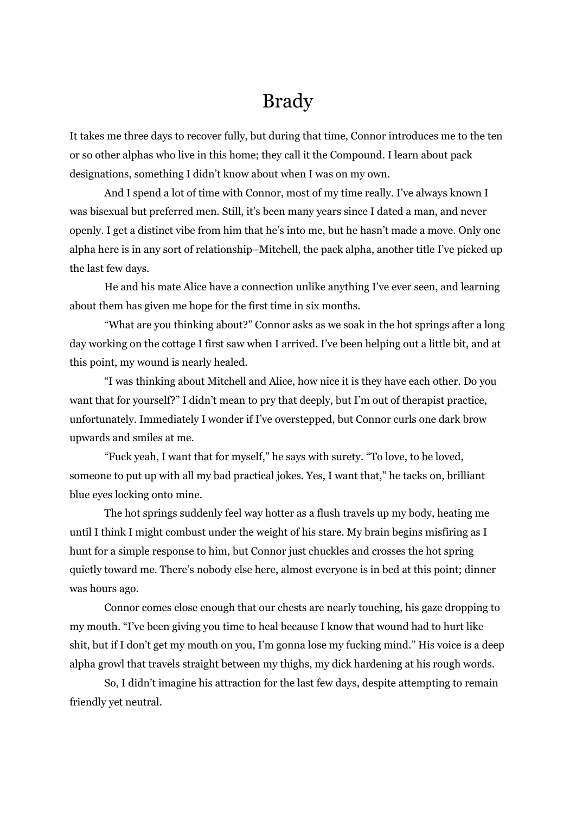## Brady

It takes me three days to recover fully, but during that time, Connor introduces me to the ten or so other alphas who live in this home; they call it the Compound. I learn about pack designations, something I didn't know about when I was on my own.

And I spend a lot of time with Connor, most of my time really. I've always known I was bisexual but preferred men. Still, it's been many years since I dated a man, and never openly. I get a distinct vibe from him that he's into me, but he hasn't made a move. Only one alpha here is in any sort of relationship–Mitchell, the pack alpha, another title I've picked up the last few days.

He and his mate Alice have a connection unlike anything I've ever seen, and learning about them has given me hope for the first time in six months.

"What are you thinking about?" Connor asks as we soak in the hot springs after a long day working on the cottage I first saw when I arrived. I've been helping out a little bit, and at this point, my wound is nearly healed.

"I was thinking about Mitchell and Alice, how nice it is they have each other. Do you want that for yourself?" I didn't mean to pry that deeply, but I'm out of therapist practice, unfortunately. Immediately I wonder if I've overstepped, but Connor curls one dark brow upwards and smiles at me.

"Fuck yeah, I want that for myself," he says with surety. "To love, to be loved, someone to put up with all my bad practical jokes. Yes, I want that," he tacks on, brilliant blue eyes locking onto mine.

The hot springs suddenly feel way hotter as a flush travels up my body, heating me until I think I might combust under the weight of his stare. My brain begins misfiring as I hunt for a simple response to him, but Connor just chuckles and crosses the hot spring quietly toward me. There's nobody else here, almost everyone is in bed at this point; dinner was hours ago.

Connor comes close enough that our chests are nearly touching, his gaze dropping to my mouth. "I've been giving you time to heal because I know that wound had to hurt like shit, but if I don't get my mouth on you, I'm gonna lose my fucking mind." His voice is a deep alpha growl that travels straight between my thighs, my dick hardening at his rough words.

So, I didn't imagine his attraction for the last few days, despite attempting to remain friendly yet neutral.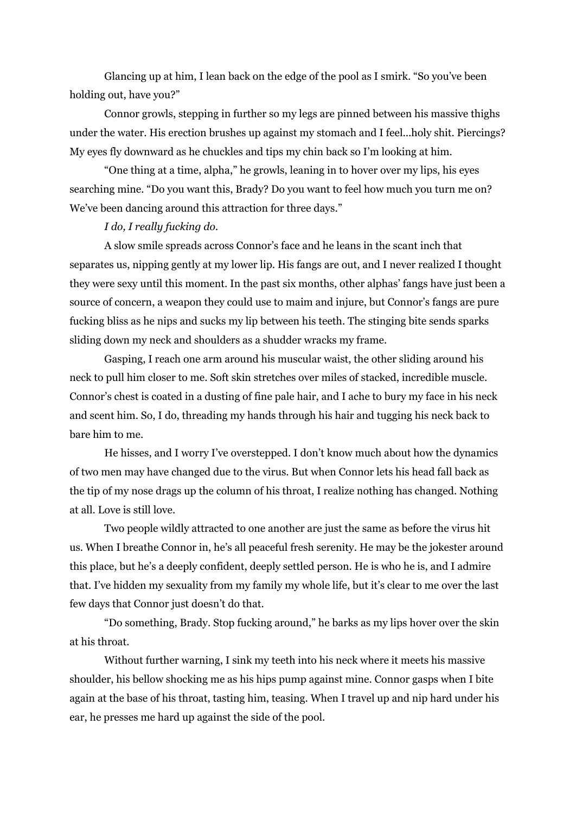Glancing up at him, I lean back on the edge of the pool as I smirk. "So you've been holding out, have you?"

Connor growls, stepping in further so my legs are pinned between his massive thighs under the water. His erection brushes up against my stomach and I feel...holy shit. Piercings? My eyes fly downward as he chuckles and tips my chin back so I'm looking at him.

"One thing at a time, alpha," he growls, leaning in to hover over my lips, his eyes searching mine. "Do you want this, Brady? Do you want to feel how much you turn me on? We've been dancing around this attraction for three days."

#### *I do, I really fucking do.*

A slow smile spreads across Connor's face and he leans in the scant inch that separates us, nipping gently at my lower lip. His fangs are out, and I never realized I thought they were sexy until this moment. In the past six months, other alphas' fangs have just been a source of concern, a weapon they could use to maim and injure, but Connor's fangs are pure fucking bliss as he nips and sucks my lip between his teeth. The stinging bite sends sparks sliding down my neck and shoulders as a shudder wracks my frame.

Gasping, I reach one arm around his muscular waist, the other sliding around his neck to pull him closer to me. Soft skin stretches over miles of stacked, incredible muscle. Connor's chest is coated in a dusting of fine pale hair, and I ache to bury my face in his neck and scent him. So, I do, threading my hands through his hair and tugging his neck back to bare him to me.

He hisses, and I worry I've overstepped. I don't know much about how the dynamics of two men may have changed due to the virus. But when Connor lets his head fall back as the tip of my nose drags up the column of his throat, I realize nothing has changed. Nothing at all. Love is still love.

Two people wildly attracted to one another are just the same as before the virus hit us. When I breathe Connor in, he's all peaceful fresh serenity. He may be the jokester around this place, but he's a deeply confident, deeply settled person. He is who he is, and I admire that. I've hidden my sexuality from my family my whole life, but it's clear to me over the last few days that Connor just doesn't do that.

"Do something, Brady. Stop fucking around," he barks as my lips hover over the skin at his throat.

Without further warning, I sink my teeth into his neck where it meets his massive shoulder, his bellow shocking me as his hips pump against mine. Connor gasps when I bite again at the base of his throat, tasting him, teasing. When I travel up and nip hard under his ear, he presses me hard up against the side of the pool.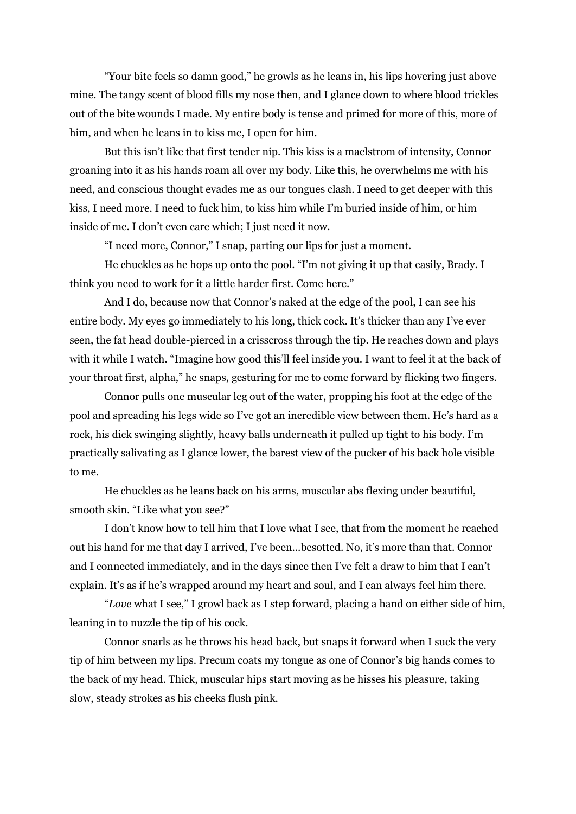"Your bite feels so damn good," he growls as he leans in, his lips hovering just above mine. The tangy scent of blood fills my nose then, and I glance down to where blood trickles out of the bite wounds I made. My entire body is tense and primed for more of this, more of him, and when he leans in to kiss me, I open for him.

But this isn't like that first tender nip. This kiss is a maelstrom of intensity, Connor groaning into it as his hands roam all over my body. Like this, he overwhelms me with his need, and conscious thought evades me as our tongues clash. I need to get deeper with this kiss, I need more. I need to fuck him, to kiss him while I'm buried inside of him, or him inside of me. I don't even care which; I just need it now.

"I need more, Connor," I snap, parting our lips for just a moment.

He chuckles as he hops up onto the pool. "I'm not giving it up that easily, Brady. I think you need to work for it a little harder first. Come here."

And I do, because now that Connor's naked at the edge of the pool, I can see his entire body. My eyes go immediately to his long, thick cock. It's thicker than any I've ever seen, the fat head double-pierced in a crisscross through the tip. He reaches down and plays with it while I watch. "Imagine how good this'll feel inside you. I want to feel it at the back of your throat first, alpha," he snaps, gesturing for me to come forward by flicking two fingers.

Connor pulls one muscular leg out of the water, propping his foot at the edge of the pool and spreading his legs wide so I've got an incredible view between them. He's hard as a rock, his dick swinging slightly, heavy balls underneath it pulled up tight to his body. I'm practically salivating as I glance lower, the barest view of the pucker of his back hole visible to me.

He chuckles as he leans back on his arms, muscular abs flexing under beautiful, smooth skin. "Like what you see?"

I don't know how to tell him that I love what I see, that from the moment he reached out his hand for me that day I arrived, I've been...besotted. No, it's more than that. Connor and I connected immediately, and in the days since then I've felt a draw to him that I can't explain. It's as if he's wrapped around my heart and soul, and I can always feel him there.

"*Love* what I see," I growl back as I step forward, placing a hand on either side of him, leaning in to nuzzle the tip of his cock.

Connor snarls as he throws his head back, but snaps it forward when I suck the very tip of him between my lips. Precum coats my tongue as one of Connor's big hands comes to the back of my head. Thick, muscular hips start moving as he hisses his pleasure, taking slow, steady strokes as his cheeks flush pink.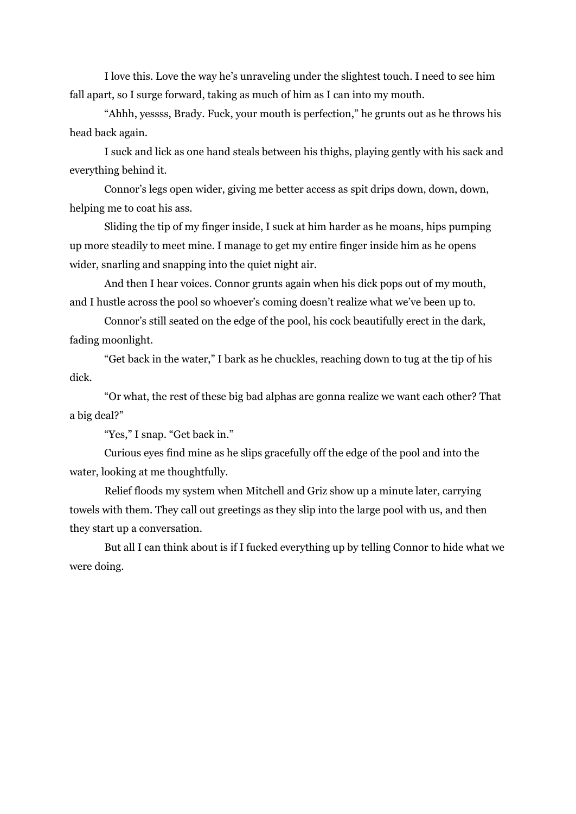I love this. Love the way he's unraveling under the slightest touch. I need to see him fall apart, so I surge forward, taking as much of him as I can into my mouth.

"Ahhh, yessss, Brady. Fuck, your mouth is perfection," he grunts out as he throws his head back again.

I suck and lick as one hand steals between his thighs, playing gently with his sack and everything behind it.

Connor's legs open wider, giving me better access as spit drips down, down, down, helping me to coat his ass.

Sliding the tip of my finger inside, I suck at him harder as he moans, hips pumping up more steadily to meet mine. I manage to get my entire finger inside him as he opens wider, snarling and snapping into the quiet night air.

And then I hear voices. Connor grunts again when his dick pops out of my mouth, and I hustle across the pool so whoever's coming doesn't realize what we've been up to.

Connor's still seated on the edge of the pool, his cock beautifully erect in the dark, fading moonlight.

"Get back in the water," I bark as he chuckles, reaching down to tug at the tip of his dick.

"Or what, the rest of these big bad alphas are gonna realize we want each other? That a big deal?"

"Yes," I snap. "Get back in."

Curious eyes find mine as he slips gracefully off the edge of the pool and into the water, looking at me thoughtfully.

Relief floods my system when Mitchell and Griz show up a minute later, carrying towels with them. They call out greetings as they slip into the large pool with us, and then they start up a conversation.

But all I can think about is if I fucked everything up by telling Connor to hide what we were doing.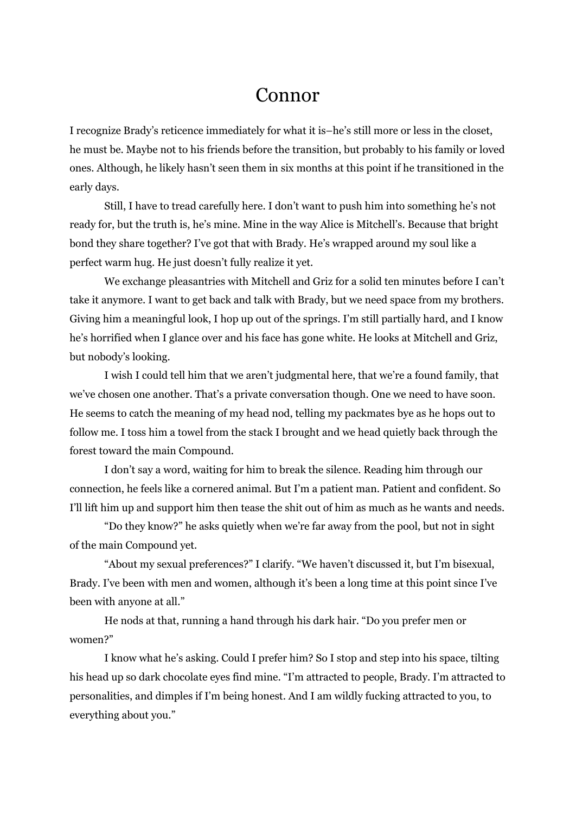## Connor

I recognize Brady's reticence immediately for what it is–he's still more or less in the closet, he must be. Maybe not to his friends before the transition, but probably to his family or loved ones. Although, he likely hasn't seen them in six months at this point if he transitioned in the early days.

Still, I have to tread carefully here. I don't want to push him into something he's not ready for, but the truth is, he's mine. Mine in the way Alice is Mitchell's. Because that bright bond they share together? I've got that with Brady. He's wrapped around my soul like a perfect warm hug. He just doesn't fully realize it yet.

We exchange pleasantries with Mitchell and Griz for a solid ten minutes before I can't take it anymore. I want to get back and talk with Brady, but we need space from my brothers. Giving him a meaningful look, I hop up out of the springs. I'm still partially hard, and I know he's horrified when I glance over and his face has gone white. He looks at Mitchell and Griz, but nobody's looking.

I wish I could tell him that we aren't judgmental here, that we're a found family, that we've chosen one another. That's a private conversation though. One we need to have soon. He seems to catch the meaning of my head nod, telling my packmates bye as he hops out to follow me. I toss him a towel from the stack I brought and we head quietly back through the forest toward the main Compound.

I don't say a word, waiting for him to break the silence. Reading him through our connection, he feels like a cornered animal. But I'm a patient man. Patient and confident. So I'll lift him up and support him then tease the shit out of him as much as he wants and needs.

"Do they know?" he asks quietly when we're far away from the pool, but not in sight of the main Compound yet.

"About my sexual preferences?" I clarify. "We haven't discussed it, but I'm bisexual, Brady. I've been with men and women, although it's been a long time at this point since I've been with anyone at all."

He nods at that, running a hand through his dark hair. "Do you prefer men or women?"

I know what he's asking. Could I prefer him? So I stop and step into his space, tilting his head up so dark chocolate eyes find mine. "I'm attracted to people, Brady. I'm attracted to personalities, and dimples if I'm being honest. And I am wildly fucking attracted to you, to everything about you."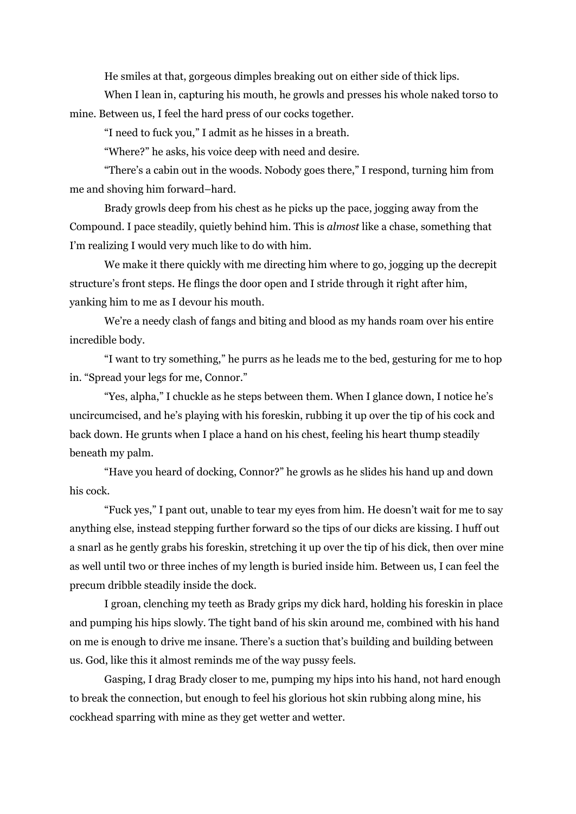He smiles at that, gorgeous dimples breaking out on either side of thick lips.

When I lean in, capturing his mouth, he growls and presses his whole naked torso to mine. Between us, I feel the hard press of our cocks together.

"I need to fuck you," I admit as he hisses in a breath.

"Where?" he asks, his voice deep with need and desire.

"There's a cabin out in the woods. Nobody goes there," I respond, turning him from me and shoving him forward–hard.

Brady growls deep from his chest as he picks up the pace, jogging away from the Compound. I pace steadily, quietly behind him. This is *almost* like a chase, something that I'm realizing I would very much like to do with him.

We make it there quickly with me directing him where to go, jogging up the decrepit structure's front steps. He flings the door open and I stride through it right after him, yanking him to me as I devour his mouth.

We're a needy clash of fangs and biting and blood as my hands roam over his entire incredible body.

"I want to try something," he purrs as he leads me to the bed, gesturing for me to hop in. "Spread your legs for me, Connor."

"Yes, alpha," I chuckle as he steps between them. When I glance down, I notice he's uncircumcised, and he's playing with his foreskin, rubbing it up over the tip of his cock and back down. He grunts when I place a hand on his chest, feeling his heart thump steadily beneath my palm.

"Have you heard of docking, Connor?" he growls as he slides his hand up and down his cock.

"Fuck yes," I pant out, unable to tear my eyes from him. He doesn't wait for me to say anything else, instead stepping further forward so the tips of our dicks are kissing. I huff out a snarl as he gently grabs his foreskin, stretching it up over the tip of his dick, then over mine as well until two or three inches of my length is buried inside him. Between us, I can feel the precum dribble steadily inside the dock.

I groan, clenching my teeth as Brady grips my dick hard, holding his foreskin in place and pumping his hips slowly. The tight band of his skin around me, combined with his hand on me is enough to drive me insane. There's a suction that's building and building between us. God, like this it almost reminds me of the way pussy feels.

Gasping, I drag Brady closer to me, pumping my hips into his hand, not hard enough to break the connection, but enough to feel his glorious hot skin rubbing along mine, his cockhead sparring with mine as they get wetter and wetter.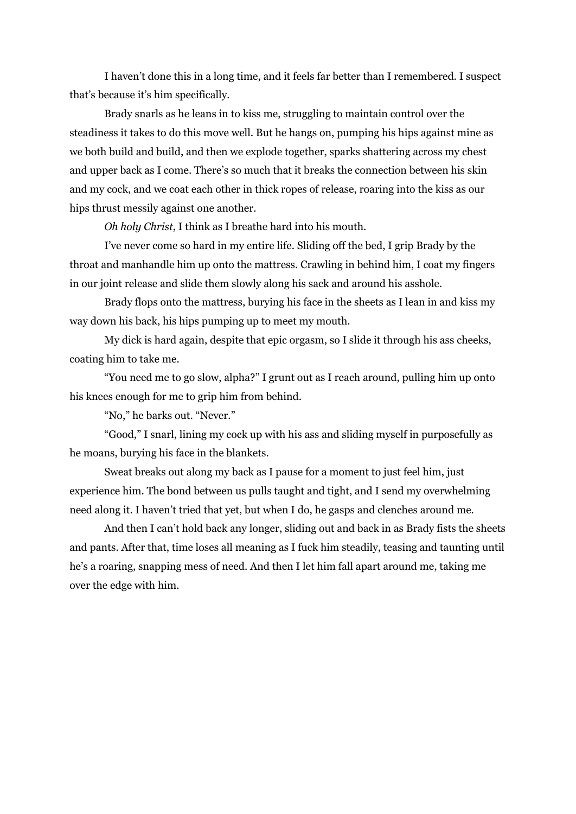I haven't done this in a long time, and it feels far better than I remembered. I suspect that's because it's him specifically.

Brady snarls as he leans in to kiss me, struggling to maintain control over the steadiness it takes to do this move well. But he hangs on, pumping his hips against mine as we both build and build, and then we explode together, sparks shattering across my chest and upper back as I come. There's so much that it breaks the connection between his skin and my cock, and we coat each other in thick ropes of release, roaring into the kiss as our hips thrust messily against one another.

*Oh holy Christ*, I think as I breathe hard into his mouth.

I've never come so hard in my entire life. Sliding off the bed, I grip Brady by the throat and manhandle him up onto the mattress. Crawling in behind him, I coat my fingers in our joint release and slide them slowly along his sack and around his asshole.

Brady flops onto the mattress, burying his face in the sheets as I lean in and kiss my way down his back, his hips pumping up to meet my mouth.

My dick is hard again, despite that epic orgasm, so I slide it through his ass cheeks, coating him to take me.

"You need me to go slow, alpha?" I grunt out as I reach around, pulling him up onto his knees enough for me to grip him from behind.

"No," he barks out. "Never."

"Good," I snarl, lining my cock up with his ass and sliding myself in purposefully as he moans, burying his face in the blankets.

Sweat breaks out along my back as I pause for a moment to just feel him, just experience him. The bond between us pulls taught and tight, and I send my overwhelming need along it. I haven't tried that yet, but when I do, he gasps and clenches around me.

And then I can't hold back any longer, sliding out and back in as Brady fists the sheets and pants. After that, time loses all meaning as I fuck him steadily, teasing and taunting until he's a roaring, snapping mess of need. And then I let him fall apart around me, taking me over the edge with him.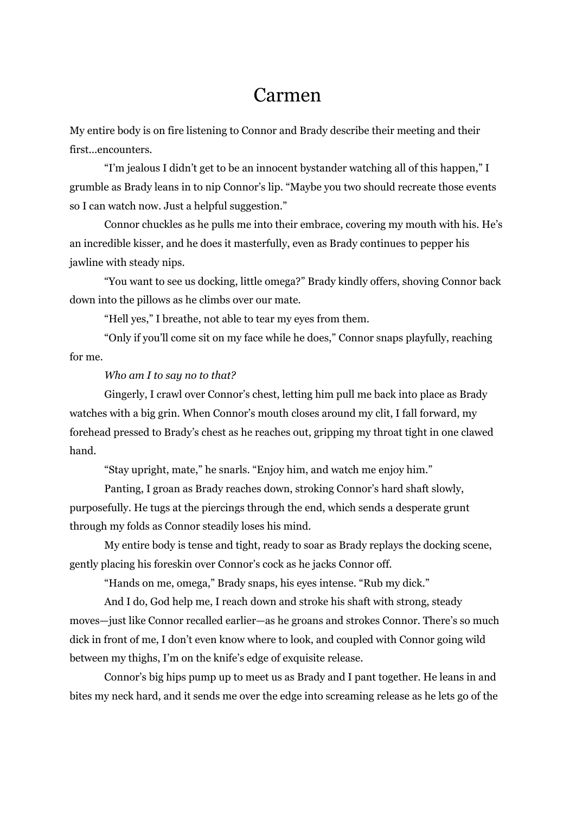### Carmen

My entire body is on fire listening to Connor and Brady describe their meeting and their first...encounters.

"I'm jealous I didn't get to be an innocent bystander watching all of this happen," I grumble as Brady leans in to nip Connor's lip. "Maybe you two should recreate those events so I can watch now. Just a helpful suggestion."

Connor chuckles as he pulls me into their embrace, covering my mouth with his. He's an incredible kisser, and he does it masterfully, even as Brady continues to pepper his jawline with steady nips.

"You want to see us docking, little omega?" Brady kindly offers, shoving Connor back down into the pillows as he climbs over our mate.

"Hell yes," I breathe, not able to tear my eyes from them.

"Only if you'll come sit on my face while he does," Connor snaps playfully, reaching for me.

#### *Who am I to say no to that?*

Gingerly, I crawl over Connor's chest, letting him pull me back into place as Brady watches with a big grin. When Connor's mouth closes around my clit, I fall forward, my forehead pressed to Brady's chest as he reaches out, gripping my throat tight in one clawed hand.

"Stay upright, mate," he snarls. "Enjoy him, and watch me enjoy him."

Panting, I groan as Brady reaches down, stroking Connor's hard shaft slowly, purposefully. He tugs at the piercings through the end, which sends a desperate grunt through my folds as Connor steadily loses his mind.

My entire body is tense and tight, ready to soar as Brady replays the docking scene, gently placing his foreskin over Connor's cock as he jacks Connor off.

"Hands on me, omega," Brady snaps, his eyes intense. "Rub my dick."

And I do, God help me, I reach down and stroke his shaft with strong, steady moves—just like Connor recalled earlier—as he groans and strokes Connor. There's so much dick in front of me, I don't even know where to look, and coupled with Connor going wild between my thighs, I'm on the knife's edge of exquisite release.

Connor's big hips pump up to meet us as Brady and I pant together. He leans in and bites my neck hard, and it sends me over the edge into screaming release as he lets go of the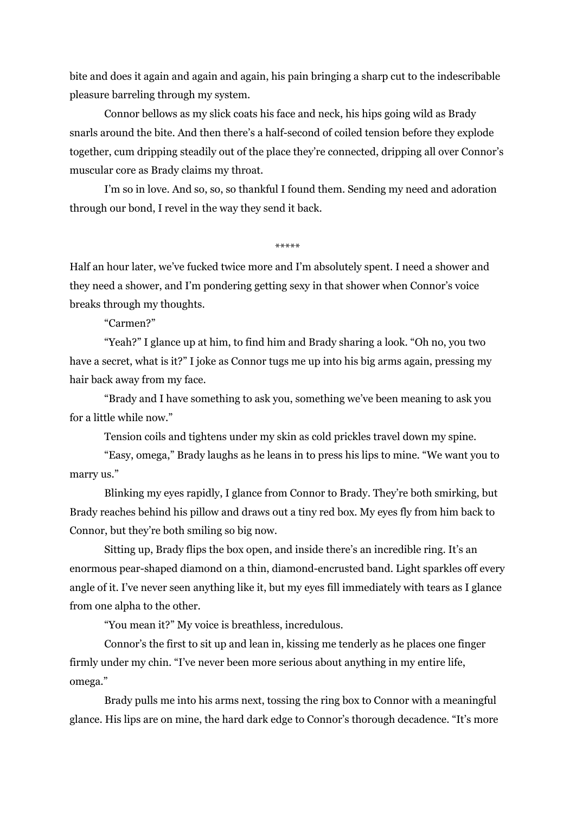bite and does it again and again and again, his pain bringing a sharp cut to the indescribable pleasure barreling through my system.

Connor bellows as my slick coats his face and neck, his hips going wild as Brady snarls around the bite. And then there's a half-second of coiled tension before they explode together, cum dripping steadily out of the place they're connected, dripping all over Connor's muscular core as Brady claims my throat.

I'm so in love. And so, so, so thankful I found them. Sending my need and adoration through our bond, I revel in the way they send it back.

\*\*\*\*

Half an hour later, we've fucked twice more and I'm absolutely spent. I need a shower and they need a shower, and I'm pondering getting sexy in that shower when Connor's voice breaks through my thoughts.

"Carmen?"

"Yeah?" I glance up at him, to find him and Brady sharing a look. "Oh no, you two have a secret, what is it?" I joke as Connor tugs me up into his big arms again, pressing my hair back away from my face.

"Brady and I have something to ask you, something we've been meaning to ask you for a little while now."

Tension coils and tightens under my skin as cold prickles travel down my spine.

"Easy, omega," Brady laughs as he leans in to press his lips to mine. "We want you to marry us."

Blinking my eyes rapidly, I glance from Connor to Brady. They're both smirking, but Brady reaches behind his pillow and draws out a tiny red box. My eyes fly from him back to Connor, but they're both smiling so big now.

Sitting up, Brady flips the box open, and inside there's an incredible ring. It's an enormous pear-shaped diamond on a thin, diamond-encrusted band. Light sparkles off every angle of it. I've never seen anything like it, but my eyes fill immediately with tears as I glance from one alpha to the other.

"You mean it?" My voice is breathless, incredulous.

Connor's the first to sit up and lean in, kissing me tenderly as he places one finger firmly under my chin. "I've never been more serious about anything in my entire life, omega."

Brady pulls me into his arms next, tossing the ring box to Connor with a meaningful glance. His lips are on mine, the hard dark edge to Connor's thorough decadence. "It's more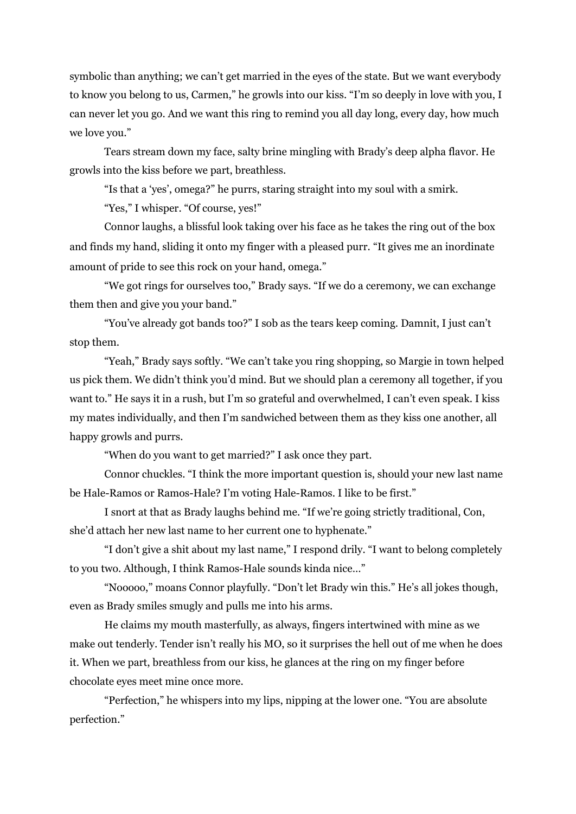symbolic than anything; we can't get married in the eyes of the state. But we want everybody to know you belong to us, Carmen," he growls into our kiss. "I'm so deeply in love with you, I can never let you go. And we want this ring to remind you all day long, every day, how much we love you."

Tears stream down my face, salty brine mingling with Brady's deep alpha flavor. He growls into the kiss before we part, breathless.

"Is that a 'yes', omega?" he purrs, staring straight into my soul with a smirk.

"Yes," I whisper. "Of course, yes!"

Connor laughs, a blissful look taking over his face as he takes the ring out of the box and finds my hand, sliding it onto my finger with a pleased purr. "It gives me an inordinate amount of pride to see this rock on your hand, omega."

"We got rings for ourselves too," Brady says. "If we do a ceremony, we can exchange them then and give you your band."

"You've already got bands too?" I sob as the tears keep coming. Damnit, I just can't stop them.

"Yeah," Brady says softly. "We can't take you ring shopping, so Margie in town helped us pick them. We didn't think you'd mind. But we should plan a ceremony all together, if you want to." He says it in a rush, but I'm so grateful and overwhelmed, I can't even speak. I kiss my mates individually, and then I'm sandwiched between them as they kiss one another, all happy growls and purrs.

"When do you want to get married?" I ask once they part.

Connor chuckles. "I think the more important question is, should your new last name be Hale-Ramos or Ramos-Hale? I'm voting Hale-Ramos. I like to be first."

I snort at that as Brady laughs behind me. "If we're going strictly traditional, Con, she'd attach her new last name to her current one to hyphenate."

"I don't give a shit about my last name," I respond drily. "I want to belong completely to you two. Although, I think Ramos-Hale sounds kinda nice…"

"Nooooo," moans Connor playfully. "Don't let Brady win this." He's all jokes though, even as Brady smiles smugly and pulls me into his arms.

He claims my mouth masterfully, as always, fingers intertwined with mine as we make out tenderly. Tender isn't really his MO, so it surprises the hell out of me when he does it. When we part, breathless from our kiss, he glances at the ring on my finger before chocolate eyes meet mine once more.

"Perfection," he whispers into my lips, nipping at the lower one. "You are absolute perfection."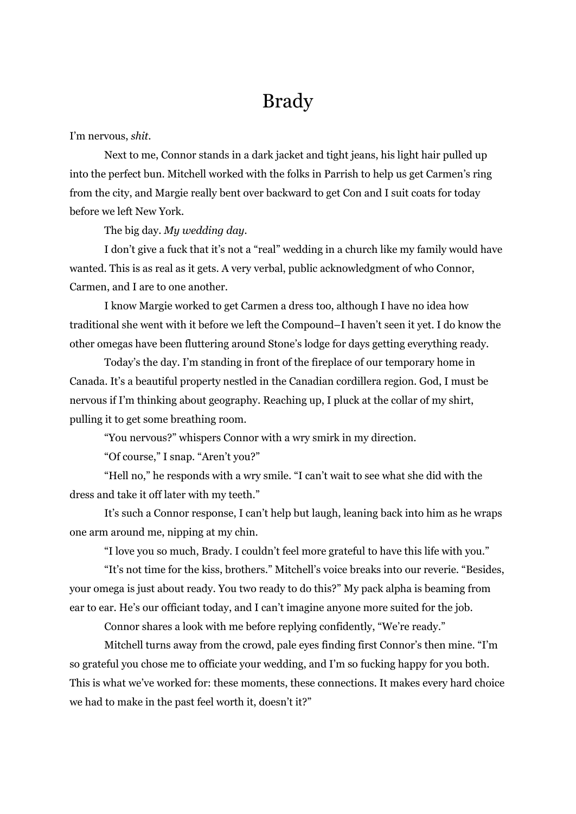# Brady

#### I'm nervous, *shit*.

Next to me, Connor stands in a dark jacket and tight jeans, his light hair pulled up into the perfect bun. Mitchell worked with the folks in Parrish to help us get Carmen's ring from the city, and Margie really bent over backward to get Con and I suit coats for today before we left New York.

#### The big day. *My wedding day.*

I don't give a fuck that it's not a "real" wedding in a church like my family would have wanted. This is as real as it gets. A very verbal, public acknowledgment of who Connor, Carmen, and I are to one another.

I know Margie worked to get Carmen a dress too, although I have no idea how traditional she went with it before we left the Compound–I haven't seen it yet. I do know the other omegas have been fluttering around Stone's lodge for days getting everything ready.

Today's the day. I'm standing in front of the fireplace of our temporary home in Canada. It's a beautiful property nestled in the Canadian cordillera region. God, I must be nervous if I'm thinking about geography. Reaching up, I pluck at the collar of my shirt, pulling it to get some breathing room.

"You nervous?" whispers Connor with a wry smirk in my direction.

"Of course," I snap. "Aren't you?"

"Hell no," he responds with a wry smile. "I can't wait to see what she did with the dress and take it off later with my teeth."

It's such a Connor response, I can't help but laugh, leaning back into him as he wraps one arm around me, nipping at my chin.

"I love you so much, Brady. I couldn't feel more grateful to have this life with you."

"It's not time for the kiss, brothers." Mitchell's voice breaks into our reverie. "Besides, your omega is just about ready. You two ready to do this?" My pack alpha is beaming from ear to ear. He's our officiant today, and I can't imagine anyone more suited for the job.

Connor shares a look with me before replying confidently, "We're ready."

Mitchell turns away from the crowd, pale eyes finding first Connor's then mine. "I'm so grateful you chose me to officiate your wedding, and I'm so fucking happy for you both. This is what we've worked for: these moments, these connections. It makes every hard choice we had to make in the past feel worth it, doesn't it?"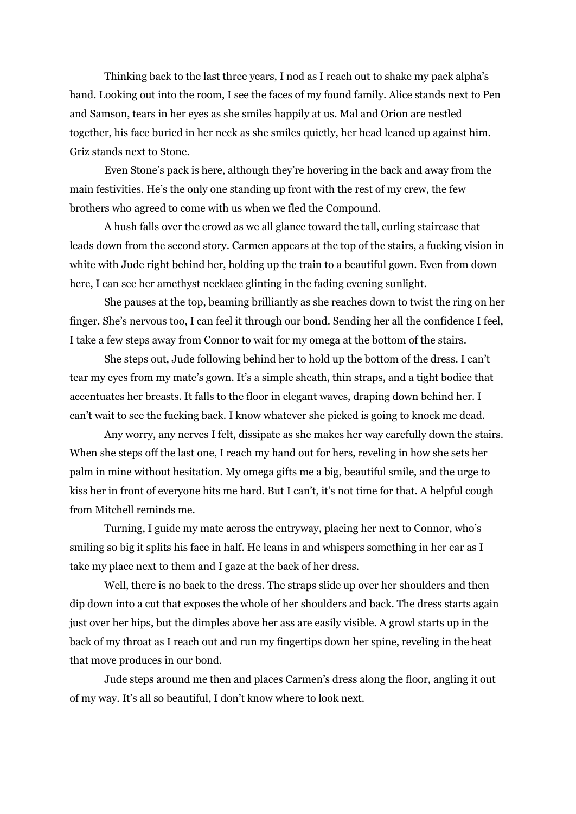Thinking back to the last three years, I nod as I reach out to shake my pack alpha's hand. Looking out into the room, I see the faces of my found family. Alice stands next to Pen and Samson, tears in her eyes as she smiles happily at us. Mal and Orion are nestled together, his face buried in her neck as she smiles quietly, her head leaned up against him. Griz stands next to Stone.

Even Stone's pack is here, although they're hovering in the back and away from the main festivities. He's the only one standing up front with the rest of my crew, the few brothers who agreed to come with us when we fled the Compound.

A hush falls over the crowd as we all glance toward the tall, curling staircase that leads down from the second story. Carmen appears at the top of the stairs, a fucking vision in white with Jude right behind her, holding up the train to a beautiful gown. Even from down here, I can see her amethyst necklace glinting in the fading evening sunlight.

She pauses at the top, beaming brilliantly as she reaches down to twist the ring on her finger. She's nervous too, I can feel it through our bond. Sending her all the confidence I feel, I take a few steps away from Connor to wait for my omega at the bottom of the stairs.

She steps out, Jude following behind her to hold up the bottom of the dress. I can't tear my eyes from my mate's gown. It's a simple sheath, thin straps, and a tight bodice that accentuates her breasts. It falls to the floor in elegant waves, draping down behind her. I can't wait to see the fucking back. I know whatever she picked is going to knock me dead.

Any worry, any nerves I felt, dissipate as she makes her way carefully down the stairs. When she steps off the last one, I reach my hand out for hers, reveling in how she sets her palm in mine without hesitation. My omega gifts me a big, beautiful smile, and the urge to kiss her in front of everyone hits me hard. But I can't, it's not time for that. A helpful cough from Mitchell reminds me.

Turning, I guide my mate across the entryway, placing her next to Connor, who's smiling so big it splits his face in half. He leans in and whispers something in her ear as I take my place next to them and I gaze at the back of her dress.

Well, there is no back to the dress. The straps slide up over her shoulders and then dip down into a cut that exposes the whole of her shoulders and back. The dress starts again just over her hips, but the dimples above her ass are easily visible. A growl starts up in the back of my throat as I reach out and run my fingertips down her spine, reveling in the heat that move produces in our bond.

Jude steps around me then and places Carmen's dress along the floor, angling it out of my way. It's all so beautiful, I don't know where to look next.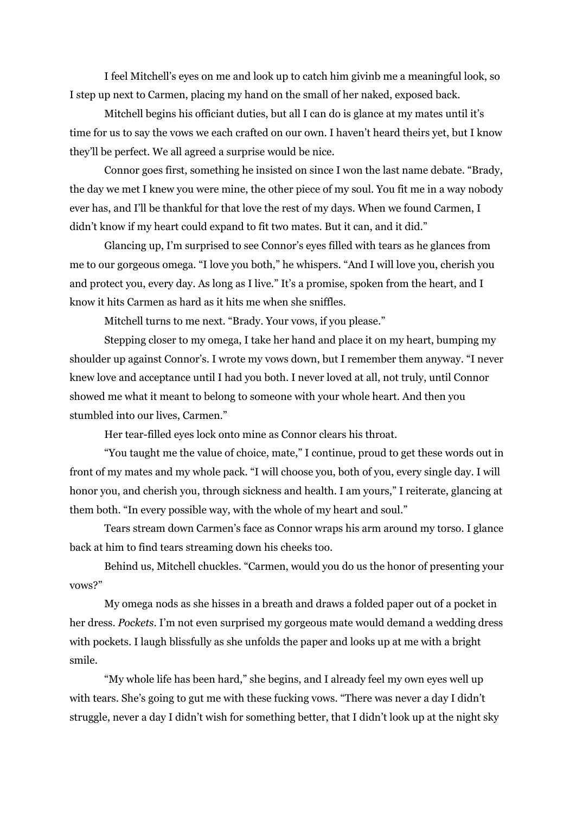I feel Mitchell's eyes on me and look up to catch him givinb me a meaningful look, so I step up next to Carmen, placing my hand on the small of her naked, exposed back.

Mitchell begins his officiant duties, but all I can do is glance at my mates until it's time for us to say the vows we each crafted on our own. I haven't heard theirs yet, but I know they'll be perfect. We all agreed a surprise would be nice.

Connor goes first, something he insisted on since I won the last name debate. "Brady, the day we met I knew you were mine, the other piece of my soul. You fit me in a way nobody ever has, and I'll be thankful for that love the rest of my days. When we found Carmen, I didn't know if my heart could expand to fit two mates. But it can, and it did."

Glancing up, I'm surprised to see Connor's eyes filled with tears as he glances from me to our gorgeous omega. "I love you both," he whispers. "And I will love you, cherish you and protect you, every day. As long as I live." It's a promise, spoken from the heart, and I know it hits Carmen as hard as it hits me when she sniffles.

Mitchell turns to me next. "Brady. Your vows, if you please."

Stepping closer to my omega, I take her hand and place it on my heart, bumping my shoulder up against Connor's. I wrote my vows down, but I remember them anyway. "I never knew love and acceptance until I had you both. I never loved at all, not truly, until Connor showed me what it meant to belong to someone with your whole heart. And then you stumbled into our lives, Carmen."

Her tear-filled eyes lock onto mine as Connor clears his throat.

"You taught me the value of choice, mate," I continue, proud to get these words out in front of my mates and my whole pack. "I will choose you, both of you, every single day. I will honor you, and cherish you, through sickness and health. I am yours," I reiterate, glancing at them both. "In every possible way, with the whole of my heart and soul."

Tears stream down Carmen's face as Connor wraps his arm around my torso. I glance back at him to find tears streaming down his cheeks too.

Behind us, Mitchell chuckles. "Carmen, would you do us the honor of presenting your vows?"

My omega nods as she hisses in a breath and draws a folded paper out of a pocket in her dress. *Pockets*. I'm not even surprised my gorgeous mate would demand a wedding dress with pockets. I laugh blissfully as she unfolds the paper and looks up at me with a bright smile.

"My whole life has been hard," she begins, and I already feel my own eyes well up with tears. She's going to gut me with these fucking vows. "There was never a day I didn't struggle, never a day I didn't wish for something better, that I didn't look up at the night sky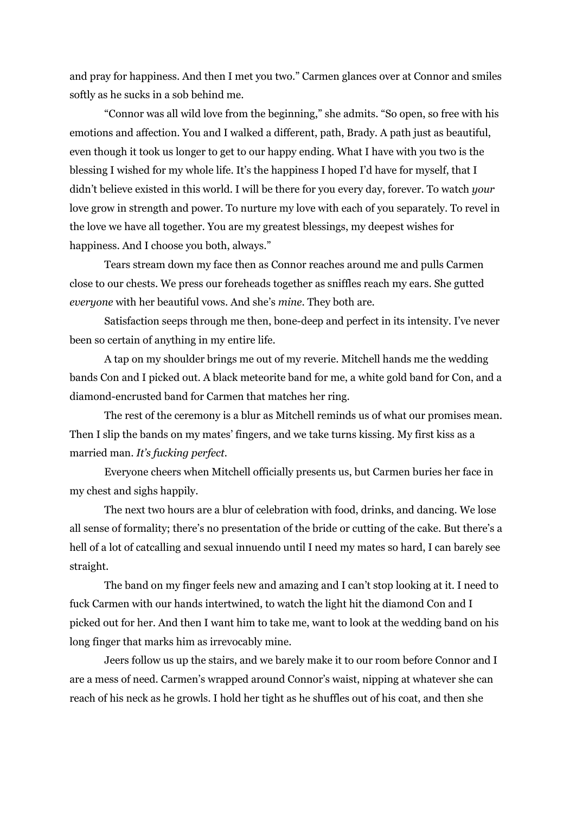and pray for happiness. And then I met you two." Carmen glances over at Connor and smiles softly as he sucks in a sob behind me.

"Connor was all wild love from the beginning," she admits. "So open, so free with his emotions and affection. You and I walked a different, path, Brady. A path just as beautiful, even though it took us longer to get to our happy ending. What I have with you two is the blessing I wished for my whole life. It's the happiness I hoped I'd have for myself, that I didn't believe existed in this world. I will be there for you every day, forever. To watch *your* love grow in strength and power. To nurture my love with each of you separately. To revel in the love we have all together. You are my greatest blessings, my deepest wishes for happiness. And I choose you both, always."

Tears stream down my face then as Connor reaches around me and pulls Carmen close to our chests. We press our foreheads together as sniffles reach my ears. She gutted *everyone* with her beautiful vows. And she's *mine*. They both are.

Satisfaction seeps through me then, bone-deep and perfect in its intensity. I've never been so certain of anything in my entire life.

A tap on my shoulder brings me out of my reverie. Mitchell hands me the wedding bands Con and I picked out. A black meteorite band for me, a white gold band for Con, and a diamond-encrusted band for Carmen that matches her ring.

The rest of the ceremony is a blur as Mitchell reminds us of what our promises mean. Then I slip the bands on my mates' fingers, and we take turns kissing. My first kiss as a married man. *It's fucking perfect.*

Everyone cheers when Mitchell officially presents us, but Carmen buries her face in my chest and sighs happily.

The next two hours are a blur of celebration with food, drinks, and dancing. We lose all sense of formality; there's no presentation of the bride or cutting of the cake. But there's a hell of a lot of catcalling and sexual innuendo until I need my mates so hard, I can barely see straight.

The band on my finger feels new and amazing and I can't stop looking at it. I need to fuck Carmen with our hands intertwined, to watch the light hit the diamond Con and I picked out for her. And then I want him to take me, want to look at the wedding band on his long finger that marks him as irrevocably mine.

Jeers follow us up the stairs, and we barely make it to our room before Connor and I are a mess of need. Carmen's wrapped around Connor's waist, nipping at whatever she can reach of his neck as he growls. I hold her tight as he shuffles out of his coat, and then she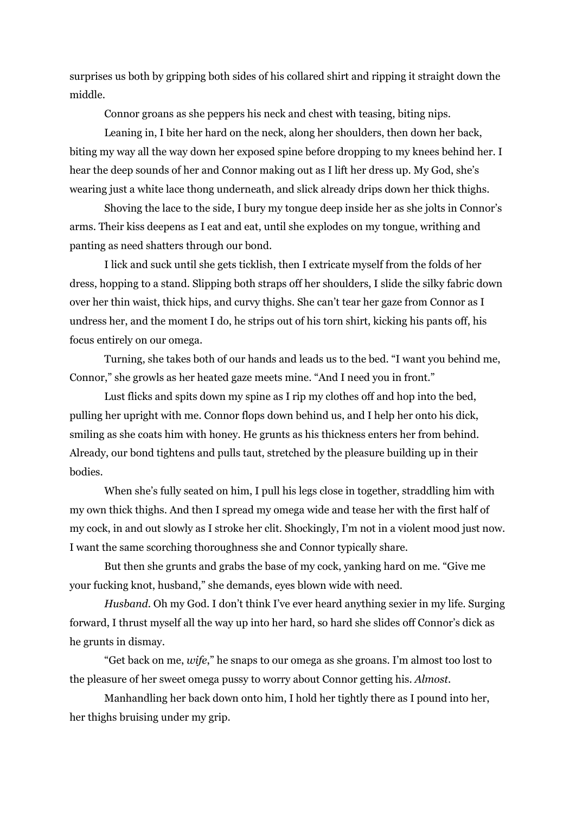surprises us both by gripping both sides of his collared shirt and ripping it straight down the middle.

Connor groans as she peppers his neck and chest with teasing, biting nips.

Leaning in, I bite her hard on the neck, along her shoulders, then down her back, biting my way all the way down her exposed spine before dropping to my knees behind her. I hear the deep sounds of her and Connor making out as I lift her dress up. My God, she's wearing just a white lace thong underneath, and slick already drips down her thick thighs.

Shoving the lace to the side, I bury my tongue deep inside her as she jolts in Connor's arms. Their kiss deepens as I eat and eat, until she explodes on my tongue, writhing and panting as need shatters through our bond.

I lick and suck until she gets ticklish, then I extricate myself from the folds of her dress, hopping to a stand. Slipping both straps off her shoulders, I slide the silky fabric down over her thin waist, thick hips, and curvy thighs. She can't tear her gaze from Connor as I undress her, and the moment I do, he strips out of his torn shirt, kicking his pants off, his focus entirely on our omega.

Turning, she takes both of our hands and leads us to the bed. "I want you behind me, Connor," she growls as her heated gaze meets mine. "And I need you in front."

Lust flicks and spits down my spine as I rip my clothes off and hop into the bed, pulling her upright with me. Connor flops down behind us, and I help her onto his dick, smiling as she coats him with honey. He grunts as his thickness enters her from behind. Already, our bond tightens and pulls taut, stretched by the pleasure building up in their bodies.

When she's fully seated on him, I pull his legs close in together, straddling him with my own thick thighs. And then I spread my omega wide and tease her with the first half of my cock, in and out slowly as I stroke her clit. Shockingly, I'm not in a violent mood just now. I want the same scorching thoroughness she and Connor typically share.

But then she grunts and grabs the base of my cock, yanking hard on me. "Give me your fucking knot, husband," she demands, eyes blown wide with need.

*Husband*. Oh my God. I don't think I've ever heard anything sexier in my life. Surging forward, I thrust myself all the way up into her hard, so hard she slides off Connor's dick as he grunts in dismay.

"Get back on me, *wife*," he snaps to our omega as she groans. I'm almost too lost to the pleasure of her sweet omega pussy to worry about Connor getting his. *Almost*.

Manhandling her back down onto him, I hold her tightly there as I pound into her, her thighs bruising under my grip.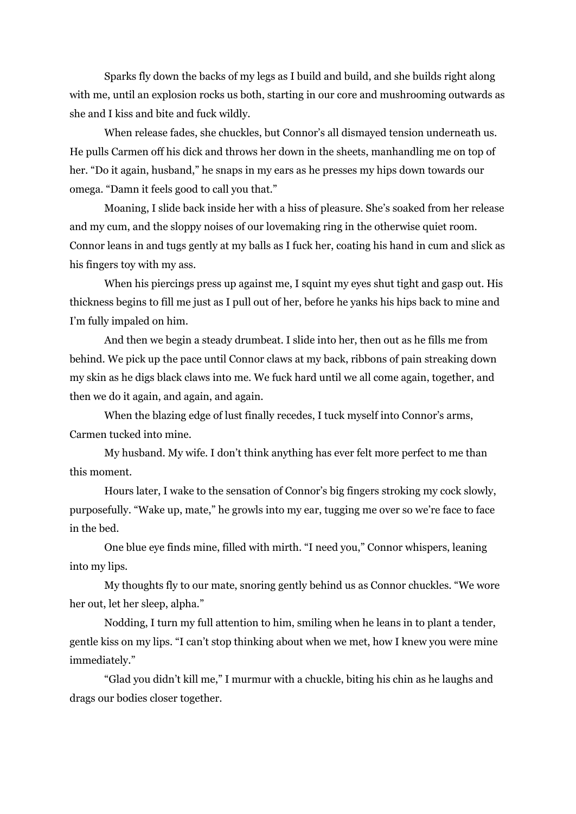Sparks fly down the backs of my legs as I build and build, and she builds right along with me, until an explosion rocks us both, starting in our core and mushrooming outwards as she and I kiss and bite and fuck wildly.

When release fades, she chuckles, but Connor's all dismayed tension underneath us. He pulls Carmen off his dick and throws her down in the sheets, manhandling me on top of her. "Do it again, husband," he snaps in my ears as he presses my hips down towards our omega. "Damn it feels good to call you that."

Moaning, I slide back inside her with a hiss of pleasure. She's soaked from her release and my cum, and the sloppy noises of our lovemaking ring in the otherwise quiet room. Connor leans in and tugs gently at my balls as I fuck her, coating his hand in cum and slick as his fingers toy with my ass.

When his piercings press up against me, I squint my eyes shut tight and gasp out. His thickness begins to fill me just as I pull out of her, before he yanks his hips back to mine and I'm fully impaled on him.

And then we begin a steady drumbeat. I slide into her, then out as he fills me from behind. We pick up the pace until Connor claws at my back, ribbons of pain streaking down my skin as he digs black claws into me. We fuck hard until we all come again, together, and then we do it again, and again, and again.

When the blazing edge of lust finally recedes, I tuck myself into Connor's arms, Carmen tucked into mine.

My husband. My wife. I don't think anything has ever felt more perfect to me than this moment.

Hours later, I wake to the sensation of Connor's big fingers stroking my cock slowly, purposefully. "Wake up, mate," he growls into my ear, tugging me over so we're face to face in the bed.

One blue eye finds mine, filled with mirth. "I need you," Connor whispers, leaning into my lips.

My thoughts fly to our mate, snoring gently behind us as Connor chuckles. "We wore her out, let her sleep, alpha."

Nodding, I turn my full attention to him, smiling when he leans in to plant a tender, gentle kiss on my lips. "I can't stop thinking about when we met, how I knew you were mine immediately."

"Glad you didn't kill me," I murmur with a chuckle, biting his chin as he laughs and drags our bodies closer together.